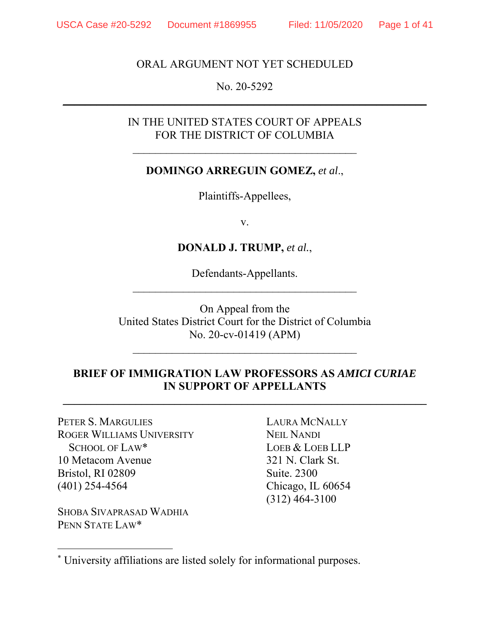### ORAL ARGUMENT NOT YET SCHEDULED

### No. 20-5292  $\frac{1}{2}$  ,  $\frac{1}{2}$  ,  $\frac{1}{2}$  ,  $\frac{1}{2}$  ,  $\frac{1}{2}$  ,  $\frac{1}{2}$  ,  $\frac{1}{2}$  ,  $\frac{1}{2}$  ,  $\frac{1}{2}$  ,  $\frac{1}{2}$  ,  $\frac{1}{2}$  ,  $\frac{1}{2}$  ,  $\frac{1}{2}$  ,  $\frac{1}{2}$  ,  $\frac{1}{2}$  ,  $\frac{1}{2}$  ,  $\frac{1}{2}$  ,  $\frac{1}{2}$  ,  $\frac{1$

### IN THE UNITED STATES COURT OF APPEALS FOR THE DISTRICT OF COLUMBIA

### **DOMINGO ARREGUIN GOMEZ,** *et al*.,

Plaintiffs-Appellees,

v.

### **DONALD J. TRUMP,** *et al.*,

Defendants-Appellants.  $\mathcal{L}_\text{max}$  , and the set of the set of the set of the set of the set of the set of the set of the set of the set of the set of the set of the set of the set of the set of the set of the set of the set of the set of the

On Appeal from the United States District Court for the District of Columbia No. 20-cv-01419 (APM)

\_\_\_\_\_\_\_\_\_\_\_\_\_\_\_\_\_\_\_\_\_\_\_\_\_\_\_\_\_\_\_\_\_\_\_\_\_\_\_\_

## **BRIEF OF IMMIGRATION LAW PROFESSORS AS** *AMICI CURIAE* **IN SUPPORT OF APPELLANTS**

 $\frac{1}{2}$  ,  $\frac{1}{2}$  ,  $\frac{1}{2}$  ,  $\frac{1}{2}$  ,  $\frac{1}{2}$  ,  $\frac{1}{2}$  ,  $\frac{1}{2}$  ,  $\frac{1}{2}$  ,  $\frac{1}{2}$  ,  $\frac{1}{2}$  ,  $\frac{1}{2}$  ,  $\frac{1}{2}$  ,  $\frac{1}{2}$  ,  $\frac{1}{2}$  ,  $\frac{1}{2}$  ,  $\frac{1}{2}$  ,  $\frac{1}{2}$  ,  $\frac{1}{2}$  ,  $\frac{1$ 

PETER S. MARGULIES ROGER WILLIAMS UNIVERSITY SCHOOL OF LAW\* 10 Metacom Avenue Bristol, RI 02809 (401) 254-4564

SHOBA SIVAPRASAD WADHIA PENN STATE LAW\*

 $\overline{a}$ 

LAURA MCNALLY NEIL NANDI LOEB & LOEB LLP 321 N. Clark St. Suite. 2300 Chicago, IL 60654 (312) 464-3100

<sup>\*</sup> University affiliations are listed solely for informational purposes.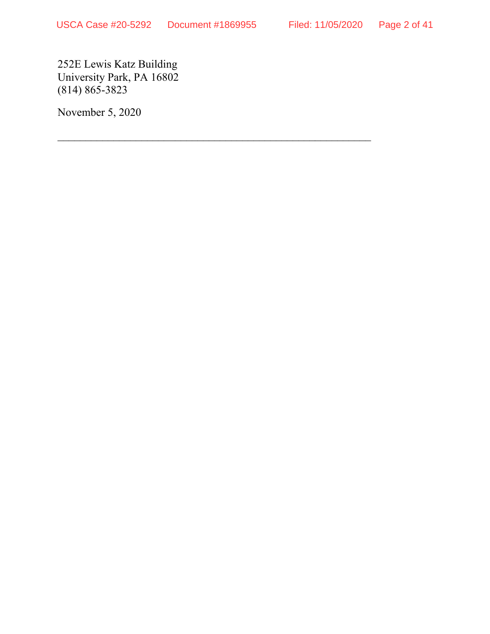$\mathcal{L}_\text{max}$  , and the contract of the contract of the contract of the contract of the contract of the contract of

252E Lewis Katz Building University Park, PA 16802  $(814) 865 - 3823$ 

November 5, 2020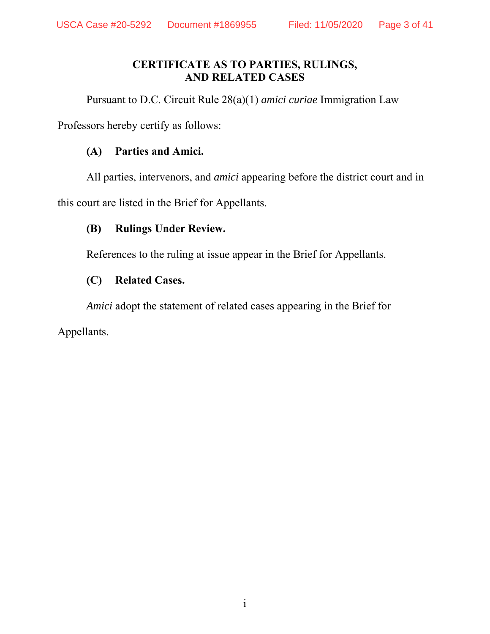### **CERTIFICATE AS TO PARTIES, RULINGS, AND RELATED CASES**

Pursuant to D.C. Circuit Rule 28(a)(1) *amici curiae* Immigration Law

Professors hereby certify as follows:

## **(A) Parties and Amici.**

All parties, intervenors, and *amici* appearing before the district court and in

this court are listed in the Brief for Appellants.

## **(B) Rulings Under Review.**

References to the ruling at issue appear in the Brief for Appellants.

## **(C) Related Cases.**

*Amici* adopt the statement of related cases appearing in the Brief for

Appellants.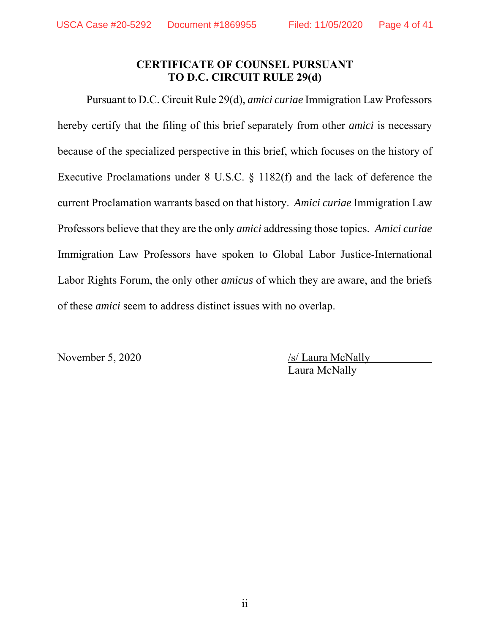## **CERTIFICATE OF COUNSEL PURSUANT TO D.C. CIRCUIT RULE 29(d)**

Pursuant to D.C. Circuit Rule 29(d), *amici curiae* Immigration Law Professors hereby certify that the filing of this brief separately from other *amici* is necessary because of the specialized perspective in this brief, which focuses on the history of Executive Proclamations under 8 U.S.C. § 1182(f) and the lack of deference the current Proclamation warrants based on that history. *Amici curiae* Immigration Law Professors believe that they are the only *amici* addressing those topics. *Amici curiae* Immigration Law Professors have spoken to Global Labor Justice-International Labor Rights Forum, the only other *amicus* of which they are aware, and the briefs of these *amici* seem to address distinct issues with no overlap.

November 5, 2020 /s/ Laura McNally Laura McNally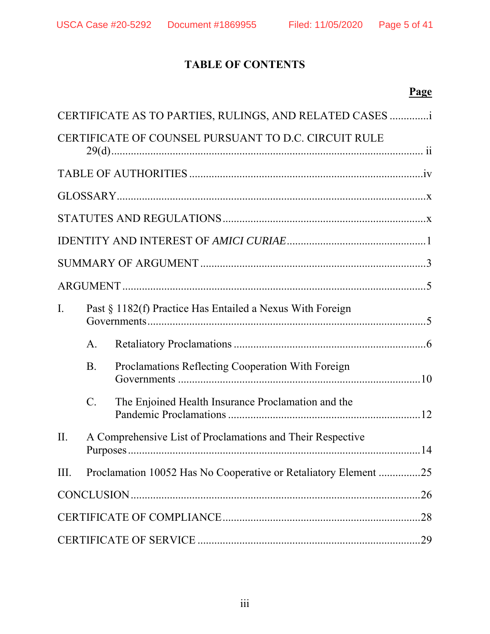## **TABLE OF CONTENTS**

## **Page**

|                |                                                            | CERTIFICATE AS TO PARTIES, RULINGS, AND RELATED CASES           |  |
|----------------|------------------------------------------------------------|-----------------------------------------------------------------|--|
|                |                                                            | CERTIFICATE OF COUNSEL PURSUANT TO D.C. CIRCUIT RULE            |  |
|                |                                                            |                                                                 |  |
|                |                                                            |                                                                 |  |
|                |                                                            |                                                                 |  |
|                |                                                            |                                                                 |  |
|                |                                                            |                                                                 |  |
|                |                                                            |                                                                 |  |
| $\mathbf{I}$ . |                                                            | Past § 1182(f) Practice Has Entailed a Nexus With Foreign       |  |
|                | $\mathsf{A}.$                                              |                                                                 |  |
|                | <b>B.</b>                                                  | Proclamations Reflecting Cooperation With Foreign               |  |
|                | $\mathcal{C}$ .                                            | The Enjoined Health Insurance Proclamation and the              |  |
| II.            | A Comprehensive List of Proclamations and Their Respective |                                                                 |  |
| Ш.             |                                                            | Proclamation 10052 Has No Cooperative or Retaliatory Element 25 |  |
|                |                                                            |                                                                 |  |
|                |                                                            |                                                                 |  |
|                |                                                            |                                                                 |  |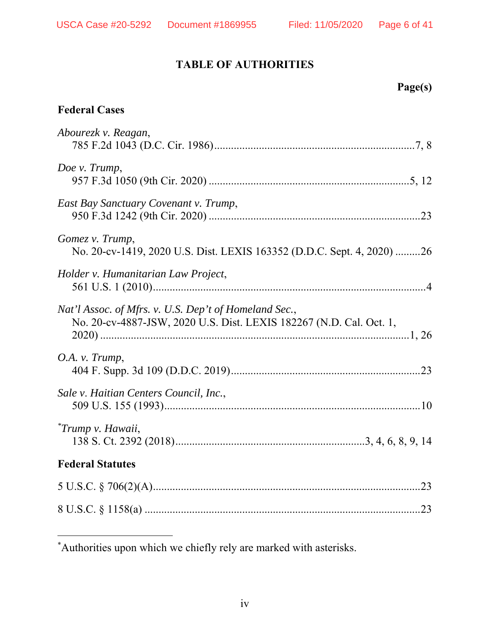## **TABLE OF AUTHORITIES**

|  | Page(s) |
|--|---------|
|--|---------|

## **Federal Cases**

-

| Abourezk v. Reagan,                                                                                                          |  |
|------------------------------------------------------------------------------------------------------------------------------|--|
| Doe v. Trump,                                                                                                                |  |
| East Bay Sanctuary Covenant v. Trump,                                                                                        |  |
| Gomez v. Trump,<br>No. 20-cv-1419, 2020 U.S. Dist. LEXIS 163352 (D.D.C. Sept. 4, 2020) 26                                    |  |
| Holder v. Humanitarian Law Project,                                                                                          |  |
| Nat'l Assoc. of Mfrs. v. U.S. Dep't of Homeland Sec.,<br>No. 20-cv-4887-JSW, 2020 U.S. Dist. LEXIS 182267 (N.D. Cal. Oct. 1, |  |
| O.A. v. Trump,                                                                                                               |  |
| Sale v. Haitian Centers Council, Inc.,                                                                                       |  |
| <i>*Trump v. Hawaii,</i>                                                                                                     |  |
| <b>Federal Statutes</b>                                                                                                      |  |
|                                                                                                                              |  |
|                                                                                                                              |  |

<sup>\*</sup> Authorities upon which we chiefly rely are marked with asterisks.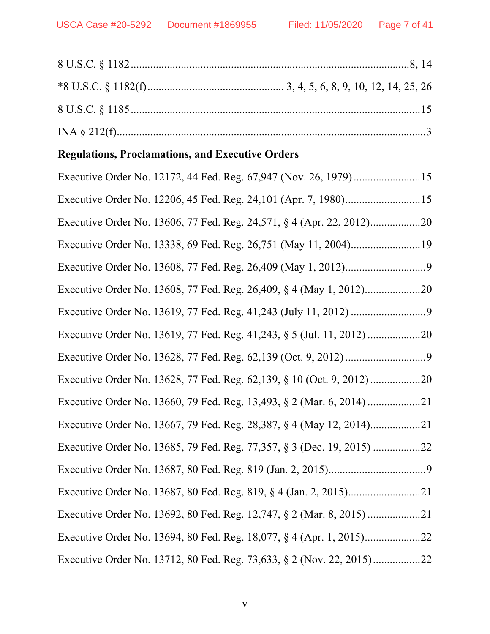# **Regulations, Proclamations, and Executive Orders**

| Executive Order No. 12172, 44 Fed. Reg. 67,947 (Nov. 26, 1979)15       |
|------------------------------------------------------------------------|
| Executive Order No. 12206, 45 Fed. Reg. 24, 101 (Apr. 7, 1980)15       |
|                                                                        |
|                                                                        |
|                                                                        |
|                                                                        |
|                                                                        |
|                                                                        |
|                                                                        |
|                                                                        |
|                                                                        |
|                                                                        |
| Executive Order No. 13685, 79 Fed. Reg. 77,357, § 3 (Dec. 19, 2015) 22 |
|                                                                        |
|                                                                        |
|                                                                        |
|                                                                        |
| Executive Order No. 13712, 80 Fed. Reg. 73,633, § 2 (Nov. 22, 2015)22  |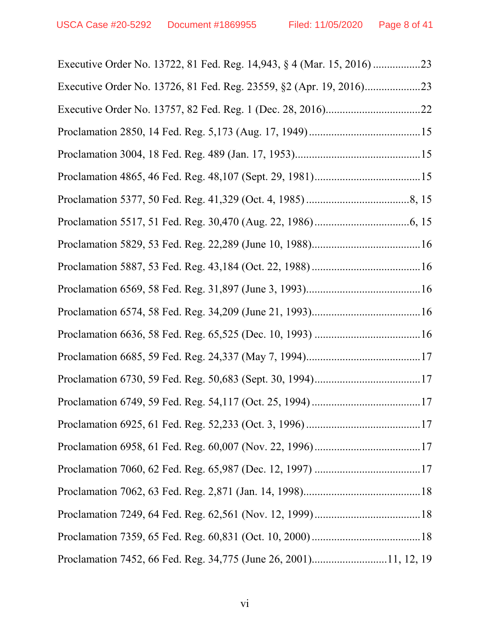| Proclamation 7452, 66 Fed. Reg. 34,775 (June 26, 2001)11, 12, 19 |
|------------------------------------------------------------------|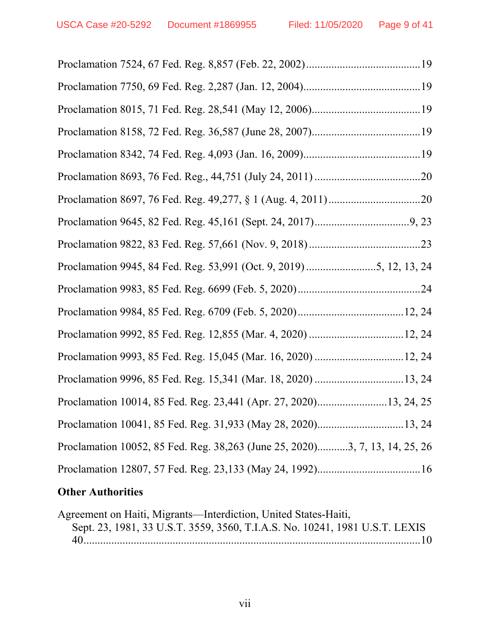|  |  | Proclamation 9945, 84 Fed. Reg. 53,991 (Oct. 9, 2019) 5, 12, 13, 24         |
|--|--|-----------------------------------------------------------------------------|
|  |  |                                                                             |
|  |  |                                                                             |
|  |  |                                                                             |
|  |  |                                                                             |
|  |  |                                                                             |
|  |  | Proclamation 10014, 85 Fed. Reg. 23,441 (Apr. 27, 2020)13, 24, 25           |
|  |  | Proclamation 10041, 85 Fed. Reg. 31,933 (May 28, 2020)13, 24                |
|  |  | Proclamation 10052, 85 Fed. Reg. 38,263 (June 25, 2020)3, 7, 13, 14, 25, 26 |
|  |  |                                                                             |
|  |  |                                                                             |

## **Other Authorities**

| Agreement on Haiti, Migrants—Interdiction, United States-Haiti,             |  |
|-----------------------------------------------------------------------------|--|
| Sept. 23, 1981, 33 U.S.T. 3559, 3560, T.I.A.S. No. 10241, 1981 U.S.T. LEXIS |  |
|                                                                             |  |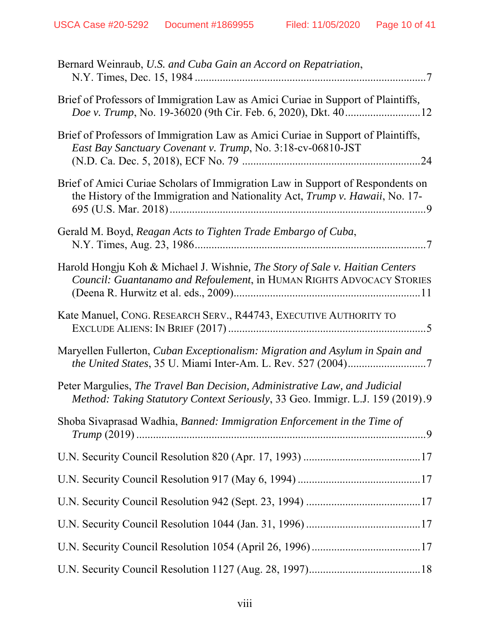| Bernard Weinraub, U.S. and Cuba Gain an Accord on Repatriation,                                                                                                |
|----------------------------------------------------------------------------------------------------------------------------------------------------------------|
| Brief of Professors of Immigration Law as Amici Curiae in Support of Plaintiffs,                                                                               |
| Brief of Professors of Immigration Law as Amici Curiae in Support of Plaintiffs,<br>East Bay Sanctuary Covenant v. Trump, No. 3:18-cv-06810-JST                |
| Brief of Amici Curiae Scholars of Immigration Law in Support of Respondents on<br>the History of the Immigration and Nationality Act, Trump v. Hawaii, No. 17- |
| Gerald M. Boyd, Reagan Acts to Tighten Trade Embargo of Cuba,                                                                                                  |
| Harold Hongju Koh & Michael J. Wishnie, The Story of Sale v. Haitian Centers<br>Council: Guantanamo and Refoulement, in HUMAN RIGHTS ADVOCACY STORIES          |
| Kate Manuel, CONG. RESEARCH SERV., R44743, EXECUTIVE AUTHORITY TO                                                                                              |
| Maryellen Fullerton, Cuban Exceptionalism: Migration and Asylum in Spain and                                                                                   |
| Peter Margulies, The Travel Ban Decision, Administrative Law, and Judicial<br>Method: Taking Statutory Context Seriously, 33 Geo. Immigr. L.J. 159 (2019).9    |
| Shoba Sivaprasad Wadhia, Banned: Immigration Enforcement in the Time of                                                                                        |
|                                                                                                                                                                |
|                                                                                                                                                                |
|                                                                                                                                                                |
|                                                                                                                                                                |
|                                                                                                                                                                |
|                                                                                                                                                                |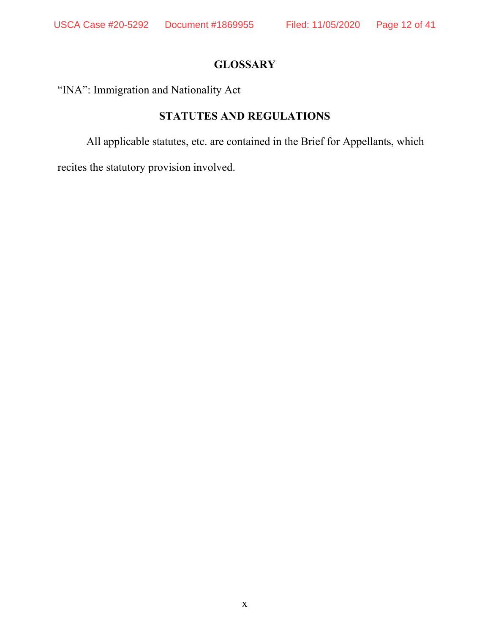## **GLOSSARY**

"INA": Immigration and Nationality Act

## **STATUTES AND REGULATIONS**

All applicable statutes, etc. are contained in the Brief for Appellants, which

recites the statutory provision involved.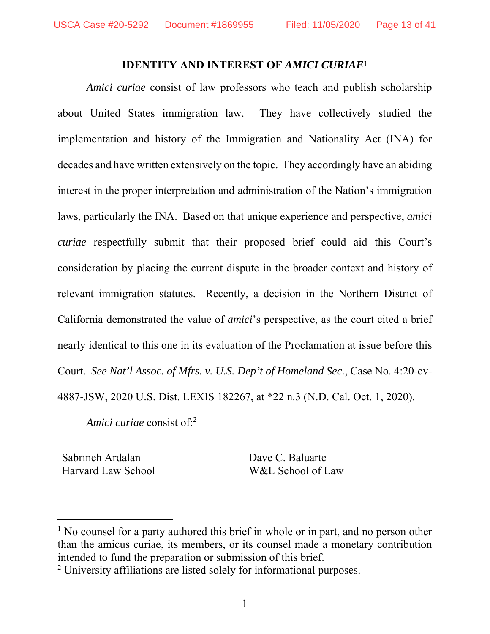### **IDENTITY AND INTEREST OF** *AMICI CURIAE*<sup>1</sup>

*Amici curiae* consist of law professors who teach and publish scholarship about United States immigration law. They have collectively studied the implementation and history of the Immigration and Nationality Act (INA) for decades and have written extensively on the topic. They accordingly have an abiding interest in the proper interpretation and administration of the Nation's immigration laws, particularly the INA. Based on that unique experience and perspective, *amici curiae* respectfully submit that their proposed brief could aid this Court's consideration by placing the current dispute in the broader context and history of relevant immigration statutes. Recently, a decision in the Northern District of California demonstrated the value of *amici*'s perspective, as the court cited a brief nearly identical to this one in its evaluation of the Proclamation at issue before this Court. *See Nat'l Assoc. of Mfrs. v. U.S. Dep't of Homeland Sec.*, Case No. 4:20-cv-4887-JSW, 2020 U.S. Dist. LEXIS 182267, at \*22 n.3 (N.D. Cal. Oct. 1, 2020).

*Amici curiae* consist of:2

Sabrineh Ardalan Harvard Law School

-

Dave C. Baluarte W&L School of Law

<sup>&</sup>lt;sup>1</sup> No counsel for a party authored this brief in whole or in part, and no person other than the amicus curiae, its members, or its counsel made a monetary contribution intended to fund the preparation or submission of this brief.

<sup>&</sup>lt;sup>2</sup> University affiliations are listed solely for informational purposes.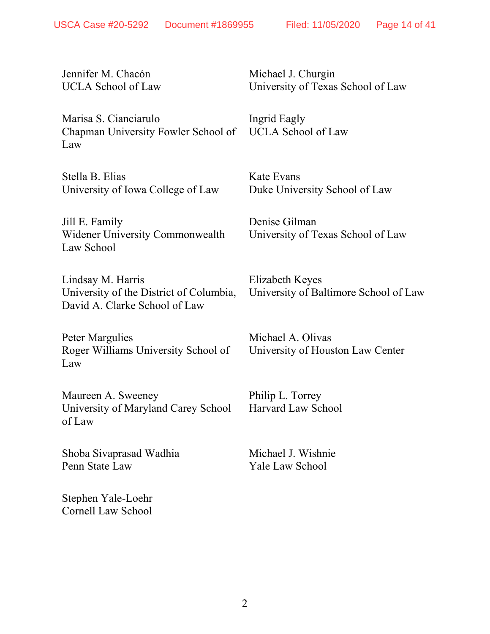Jennifer M. Chacón UCLA School of Law

Marisa S. Cianciarulo Chapman University Fowler School of Law

Stella B. Elias University of Iowa College of Law

Jill E. Family Widener University Commonwealth Law School

Lindsay M. Harris University of the District of Columbia, David A. Clarke School of Law

Peter Margulies Roger Williams University School of Law

Maureen A. Sweeney University of Maryland Carey School of Law

Shoba Sivaprasad Wadhia Penn State Law

Stephen Yale-Loehr Cornell Law School Michael J. Churgin University of Texas School of Law

Ingrid Eagly UCLA School of Law

Kate Evans Duke University School of Law

Denise Gilman University of Texas School of Law

Elizabeth Keyes University of Baltimore School of Law

Michael A. Olivas University of Houston Law Center

Philip L. Torrey Harvard Law School

Michael J. Wishnie Yale Law School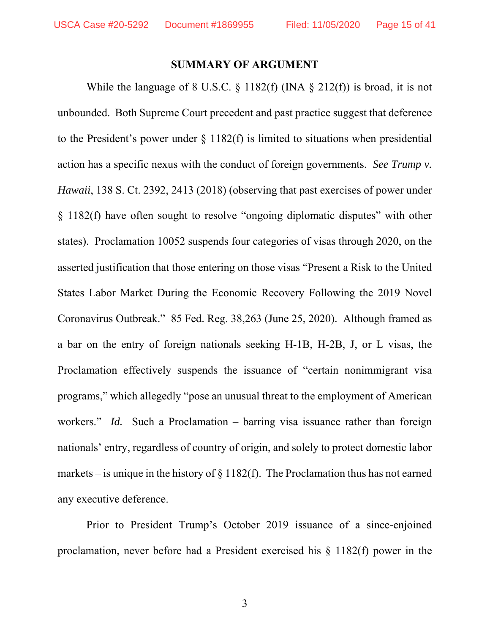### **SUMMARY OF ARGUMENT**

While the language of 8 U.S.C.  $\S$  1182(f) (INA  $\S$  212(f)) is broad, it is not unbounded. Both Supreme Court precedent and past practice suggest that deference to the President's power under  $\S$  1182(f) is limited to situations when presidential action has a specific nexus with the conduct of foreign governments. *See Trump v. Hawaii*, 138 S. Ct. 2392, 2413 (2018) (observing that past exercises of power under § 1182(f) have often sought to resolve "ongoing diplomatic disputes" with other states). Proclamation 10052 suspends four categories of visas through 2020, on the asserted justification that those entering on those visas "Present a Risk to the United States Labor Market During the Economic Recovery Following the 2019 Novel Coronavirus Outbreak." 85 Fed. Reg. 38,263 (June 25, 2020). Although framed as a bar on the entry of foreign nationals seeking H-1B, H-2B, J, or L visas, the Proclamation effectively suspends the issuance of "certain nonimmigrant visa programs," which allegedly "pose an unusual threat to the employment of American workers." *Id.* Such a Proclamation – barring visa issuance rather than foreign nationals' entry, regardless of country of origin, and solely to protect domestic labor markets – is unique in the history of  $\S 1182(f)$ . The Proclamation thus has not earned any executive deference.

Prior to President Trump's October 2019 issuance of a since-enjoined proclamation, never before had a President exercised his § 1182(f) power in the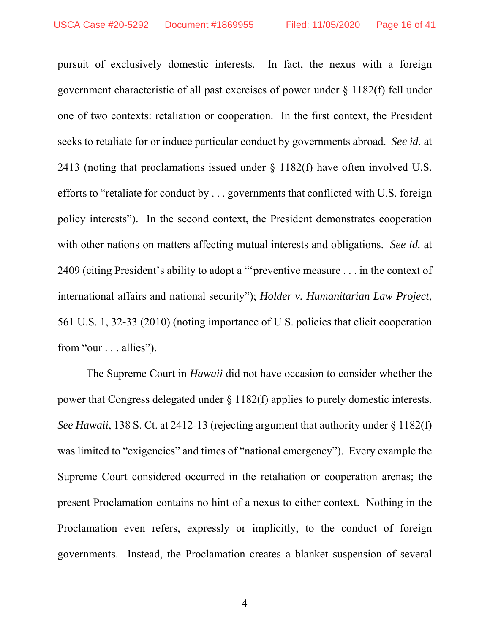pursuit of exclusively domestic interests. In fact, the nexus with a foreign government characteristic of all past exercises of power under § 1182(f) fell under one of two contexts: retaliation or cooperation. In the first context, the President seeks to retaliate for or induce particular conduct by governments abroad. *See id.* at 2413 (noting that proclamations issued under § 1182(f) have often involved U.S. efforts to "retaliate for conduct by . . . governments that conflicted with U.S. foreign policy interests"). In the second context, the President demonstrates cooperation with other nations on matters affecting mutual interests and obligations. *See id.* at 2409 (citing President's ability to adopt a "'preventive measure . . . in the context of international affairs and national security"); *Holder v. Humanitarian Law Project*, 561 U.S. 1, 32-33 (2010) (noting importance of U.S. policies that elicit cooperation from "our . . . allies").

The Supreme Court in *Hawaii* did not have occasion to consider whether the power that Congress delegated under § 1182(f) applies to purely domestic interests. *See Hawaii*, 138 S. Ct. at 2412-13 (rejecting argument that authority under § 1182(f) was limited to "exigencies" and times of "national emergency"). Every example the Supreme Court considered occurred in the retaliation or cooperation arenas; the present Proclamation contains no hint of a nexus to either context. Nothing in the Proclamation even refers, expressly or implicitly, to the conduct of foreign governments. Instead, the Proclamation creates a blanket suspension of several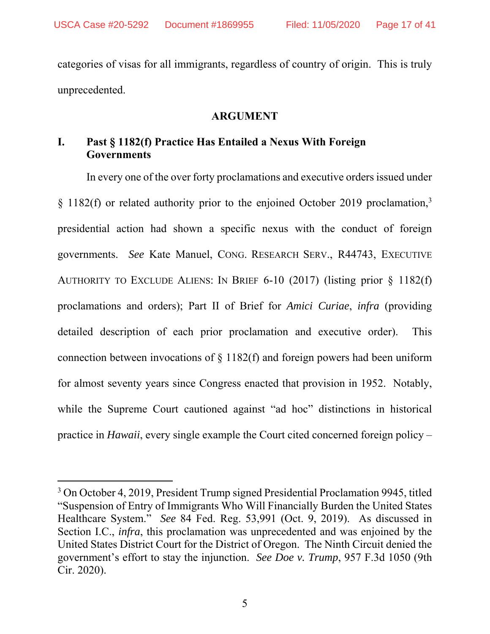categories of visas for all immigrants, regardless of country of origin. This is truly unprecedented.

### **ARGUMENT**

## **I. Past § 1182(f) Practice Has Entailed a Nexus With Foreign Governments**

In every one of the over forty proclamations and executive orders issued under § 1182(f) or related authority prior to the enjoined October 2019 proclamation,<sup>3</sup> presidential action had shown a specific nexus with the conduct of foreign governments. *See* Kate Manuel, CONG. RESEARCH SERV., R44743, EXECUTIVE AUTHORITY TO EXCLUDE ALIENS: IN BRIEF 6-10 (2017) (listing prior § 1182(f) proclamations and orders); Part II of Brief for *Amici Curiae*, *infra* (providing detailed description of each prior proclamation and executive order). This connection between invocations of § 1182(f) and foreign powers had been uniform for almost seventy years since Congress enacted that provision in 1952. Notably, while the Supreme Court cautioned against "ad hoc" distinctions in historical practice in *Hawaii*, every single example the Court cited concerned foreign policy –

 $\overline{a}$ 

<sup>&</sup>lt;sup>3</sup> On October 4, 2019, President Trump signed Presidential Proclamation 9945, titled "Suspension of Entry of Immigrants Who Will Financially Burden the United States Healthcare System." *See* 84 Fed. Reg. 53,991 (Oct. 9, 2019). As discussed in Section I.C., *infra*, this proclamation was unprecedented and was enjoined by the United States District Court for the District of Oregon. The Ninth Circuit denied the government's effort to stay the injunction. *See Doe v. Trump*, 957 F.3d 1050 (9th Cir. 2020).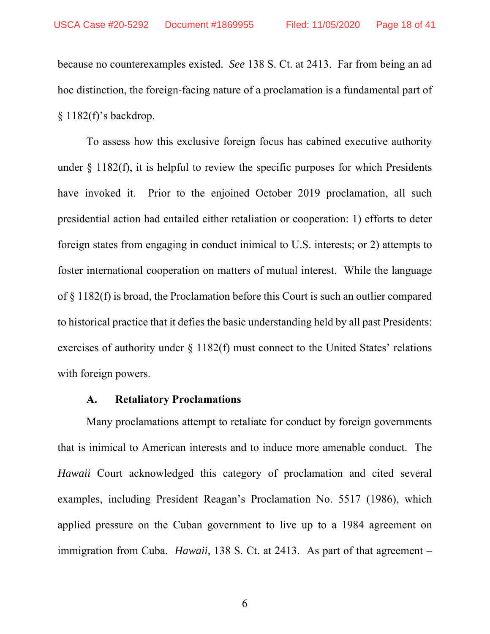because no counterexamples existed. *See* 138 S. Ct. at 2413. Far from being an ad hoc distinction, the foreign-facing nature of a proclamation is a fundamental part of § 1182(f)'s backdrop.

To assess how this exclusive foreign focus has cabined executive authority under  $\S$  1182(f), it is helpful to review the specific purposes for which Presidents have invoked it. Prior to the enjoined October 2019 proclamation, all such presidential action had entailed either retaliation or cooperation: 1) efforts to deter foreign states from engaging in conduct inimical to U.S. interests; or 2) attempts to foster international cooperation on matters of mutual interest. While the language of § 1182(f) is broad, the Proclamation before this Court is such an outlier compared to historical practice that it defies the basic understanding held by all past Presidents: exercises of authority under  $\S 1182(f)$  must connect to the United States' relations with foreign powers.

### **A. Retaliatory Proclamations**

Many proclamations attempt to retaliate for conduct by foreign governments that is inimical to American interests and to induce more amenable conduct. The *Hawaii* Court acknowledged this category of proclamation and cited several examples, including President Reagan's Proclamation No. 5517 (1986), which applied pressure on the Cuban government to live up to a 1984 agreement on immigration from Cuba. *Hawaii*, 138 S. Ct. at 2413. As part of that agreement –

6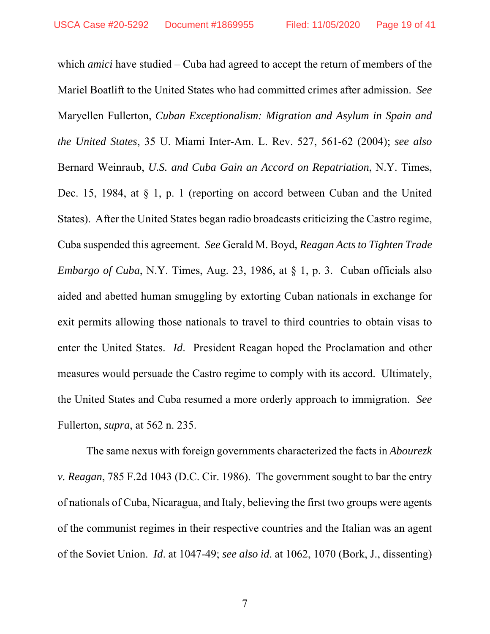which *amici* have studied – Cuba had agreed to accept the return of members of the Mariel Boatlift to the United States who had committed crimes after admission. *See*  Maryellen Fullerton, *Cuban Exceptionalism: Migration and Asylum in Spain and the United States*, 35 U. Miami Inter-Am. L. Rev. 527, 561-62 (2004); *see also*  Bernard Weinraub, *U.S. and Cuba Gain an Accord on Repatriation*, N.Y. Times, Dec. 15, 1984, at § 1, p. 1 (reporting on accord between Cuban and the United States). After the United States began radio broadcasts criticizing the Castro regime, Cuba suspended this agreement. *See* Gerald M. Boyd, *Reagan Acts to Tighten Trade Embargo of Cuba*, N.Y. Times, Aug. 23, 1986, at § 1, p. 3. Cuban officials also aided and abetted human smuggling by extorting Cuban nationals in exchange for exit permits allowing those nationals to travel to third countries to obtain visas to enter the United States. *Id*. President Reagan hoped the Proclamation and other measures would persuade the Castro regime to comply with its accord. Ultimately, the United States and Cuba resumed a more orderly approach to immigration. *See*  Fullerton, *supra*, at 562 n. 235.

The same nexus with foreign governments characterized the facts in *Abourezk v. Reagan*, 785 F.2d 1043 (D.C. Cir. 1986). The government sought to bar the entry of nationals of Cuba, Nicaragua, and Italy, believing the first two groups were agents of the communist regimes in their respective countries and the Italian was an agent of the Soviet Union. *Id*. at 1047-49; *see also id*. at 1062, 1070 (Bork, J., dissenting)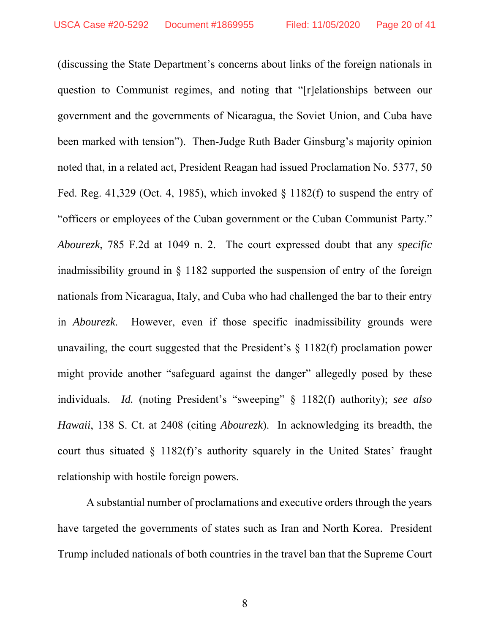(discussing the State Department's concerns about links of the foreign nationals in question to Communist regimes, and noting that "[r]elationships between our government and the governments of Nicaragua, the Soviet Union, and Cuba have been marked with tension"). Then-Judge Ruth Bader Ginsburg's majority opinion noted that, in a related act, President Reagan had issued Proclamation No. 5377, 50 Fed. Reg. 41,329 (Oct. 4, 1985), which invoked  $\S$  1182(f) to suspend the entry of "officers or employees of the Cuban government or the Cuban Communist Party." *Abourezk*, 785 F.2d at 1049 n. 2. The court expressed doubt that any *specific* inadmissibility ground in § 1182 supported the suspension of entry of the foreign nationals from Nicaragua, Italy, and Cuba who had challenged the bar to their entry in *Abourezk*. However, even if those specific inadmissibility grounds were unavailing, the court suggested that the President's § 1182(f) proclamation power might provide another "safeguard against the danger" allegedly posed by these individuals. *Id.* (noting President's "sweeping" § 1182(f) authority); *see also Hawaii*, 138 S. Ct. at 2408 (citing *Abourezk*). In acknowledging its breadth, the court thus situated  $\S$  1182(f)'s authority squarely in the United States' fraught relationship with hostile foreign powers.

A substantial number of proclamations and executive orders through the years have targeted the governments of states such as Iran and North Korea. President Trump included nationals of both countries in the travel ban that the Supreme Court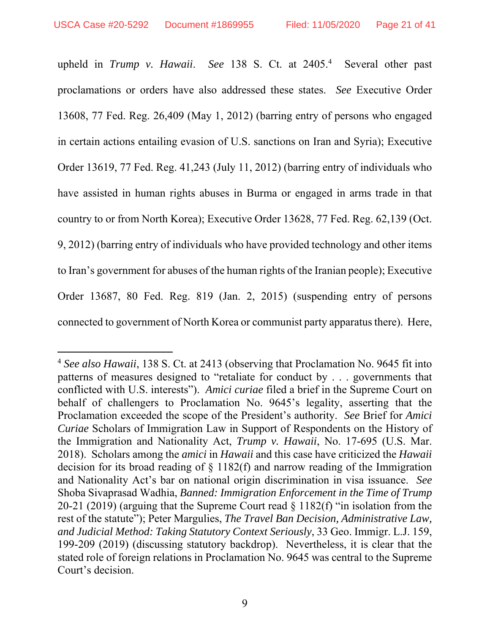-

upheld in *Trump v. Hawaii*. *See* 138 S. Ct. at 2405.4 Several other past proclamations or orders have also addressed these states. *See* Executive Order 13608, 77 Fed. Reg. 26,409 (May 1, 2012) (barring entry of persons who engaged in certain actions entailing evasion of U.S. sanctions on Iran and Syria); Executive Order 13619, 77 Fed. Reg. 41,243 (July 11, 2012) (barring entry of individuals who have assisted in human rights abuses in Burma or engaged in arms trade in that country to or from North Korea); Executive Order 13628, 77 Fed. Reg. 62,139 (Oct. 9, 2012) (barring entry of individuals who have provided technology and other items to Iran's government for abuses of the human rights of the Iranian people); Executive Order 13687, 80 Fed. Reg. 819 (Jan. 2, 2015) (suspending entry of persons connected to government of North Korea or communist party apparatus there). Here,

<sup>4</sup> *See also Hawaii*, 138 S. Ct. at 2413 (observing that Proclamation No. 9645 fit into patterns of measures designed to "retaliate for conduct by . . . governments that conflicted with U.S. interests"). *Amici curiae* filed a brief in the Supreme Court on behalf of challengers to Proclamation No. 9645's legality, asserting that the Proclamation exceeded the scope of the President's authority. *See* Brief for *Amici Curiae* Scholars of Immigration Law in Support of Respondents on the History of the Immigration and Nationality Act, *Trump v. Hawaii*, No. 17-695 (U.S. Mar. 2018). Scholars among the *amici* in *Hawaii* and this case have criticized the *Hawaii*  decision for its broad reading of § 1182(f) and narrow reading of the Immigration and Nationality Act's bar on national origin discrimination in visa issuance. *See*  Shoba Sivaprasad Wadhia, *Banned: Immigration Enforcement in the Time of Trump*  20-21 (2019) (arguing that the Supreme Court read § 1182(f) "in isolation from the rest of the statute"); Peter Margulies, *The Travel Ban Decision, Administrative Law, and Judicial Method: Taking Statutory Context Seriously*, 33 Geo. Immigr. L.J. 159, 199-209 (2019) (discussing statutory backdrop). Nevertheless, it is clear that the stated role of foreign relations in Proclamation No. 9645 was central to the Supreme Court's decision.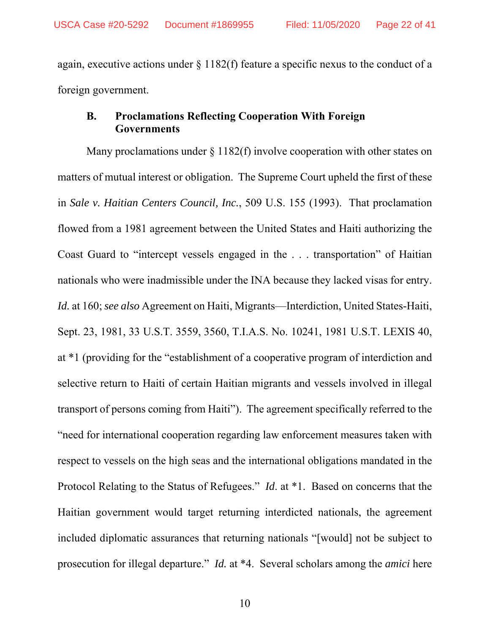again, executive actions under § 1182(f) feature a specific nexus to the conduct of a foreign government.

## **B. Proclamations Reflecting Cooperation With Foreign Governments**

Many proclamations under  $\S 1182(f)$  involve cooperation with other states on matters of mutual interest or obligation. The Supreme Court upheld the first of these in *Sale v. Haitian Centers Council, Inc.*, 509 U.S. 155 (1993). That proclamation flowed from a 1981 agreement between the United States and Haiti authorizing the Coast Guard to "intercept vessels engaged in the . . . transportation" of Haitian nationals who were inadmissible under the INA because they lacked visas for entry. *Id.* at 160; *see also* Agreement on Haiti, Migrants—Interdiction, United States-Haiti, Sept. 23, 1981, 33 U.S.T. 3559, 3560, T.I.A.S. No. 10241, 1981 U.S.T. LEXIS 40, at \*1 (providing for the "establishment of a cooperative program of interdiction and selective return to Haiti of certain Haitian migrants and vessels involved in illegal transport of persons coming from Haiti"). The agreement specifically referred to the "need for international cooperation regarding law enforcement measures taken with respect to vessels on the high seas and the international obligations mandated in the Protocol Relating to the Status of Refugees." *Id*. at \*1. Based on concerns that the Haitian government would target returning interdicted nationals, the agreement included diplomatic assurances that returning nationals "[would] not be subject to prosecution for illegal departure." *Id.* at \*4. Several scholars among the *amici* here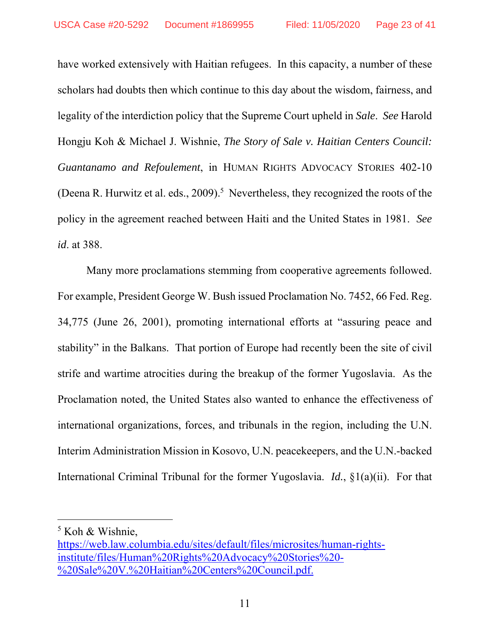have worked extensively with Haitian refugees. In this capacity, a number of these scholars had doubts then which continue to this day about the wisdom, fairness, and legality of the interdiction policy that the Supreme Court upheld in *Sale*. *See* Harold Hongju Koh & Michael J. Wishnie, *The Story of Sale v. Haitian Centers Council: Guantanamo and Refoulement*, in HUMAN RIGHTS ADVOCACY STORIES 402-10 (Deena R. Hurwitz et al. eds.,  $2009$ ).<sup>5</sup> Nevertheless, they recognized the roots of the policy in the agreement reached between Haiti and the United States in 1981. *See id*. at 388.

Many more proclamations stemming from cooperative agreements followed. For example, President George W. Bush issued Proclamation No. 7452, 66 Fed. Reg. 34,775 (June 26, 2001), promoting international efforts at "assuring peace and stability" in the Balkans. That portion of Europe had recently been the site of civil strife and wartime atrocities during the breakup of the former Yugoslavia. As the Proclamation noted, the United States also wanted to enhance the effectiveness of international organizations, forces, and tribunals in the region, including the U.N. Interim Administration Mission in Kosovo, U.N. peacekeepers, and the U.N.-backed International Criminal Tribunal for the former Yugoslavia. *Id.*, §1(a)(ii). For that

-

<sup>5</sup> Koh & Wishnie,

https://web.law.columbia.edu/sites/default/files/microsites/human-rightsinstitute/files/Human%20Rights%20Advocacy%20Stories%20- %20Sale%20V.%20Haitian%20Centers%20Council.pdf.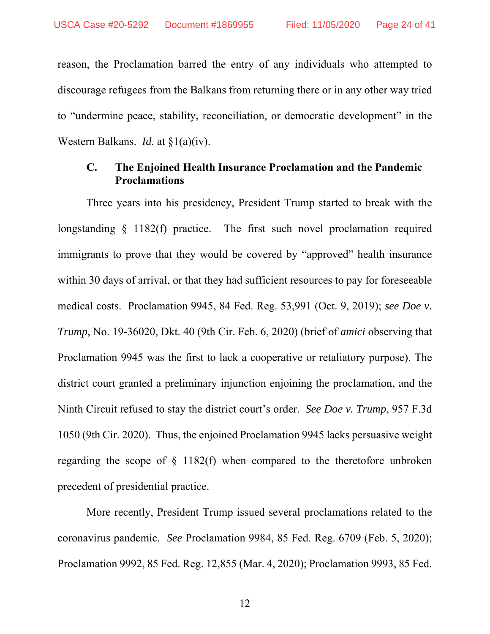reason, the Proclamation barred the entry of any individuals who attempted to discourage refugees from the Balkans from returning there or in any other way tried to "undermine peace, stability, reconciliation, or democratic development" in the Western Balkans. *Id.* at §1(a)(iv).

### **C. The Enjoined Health Insurance Proclamation and the Pandemic Proclamations**

Three years into his presidency, President Trump started to break with the longstanding  $\S$  1182(f) practice. The first such novel proclamation required immigrants to prove that they would be covered by "approved" health insurance within 30 days of arrival, or that they had sufficient resources to pay for foreseeable medical costs. Proclamation 9945, 84 Fed. Reg. 53,991 (Oct. 9, 2019); *see Doe v. Trump*, No. 19-36020, Dkt. 40 (9th Cir. Feb. 6, 2020) (brief of *amici* observing that Proclamation 9945 was the first to lack a cooperative or retaliatory purpose). The district court granted a preliminary injunction enjoining the proclamation, and the Ninth Circuit refused to stay the district court's order. *See Doe v. Trump*, 957 F.3d 1050 (9th Cir. 2020). Thus, the enjoined Proclamation 9945 lacks persuasive weight regarding the scope of § 1182(f) when compared to the theretofore unbroken precedent of presidential practice.

More recently, President Trump issued several proclamations related to the coronavirus pandemic. *See* Proclamation 9984, 85 Fed. Reg. 6709 (Feb. 5, 2020); Proclamation 9992, 85 Fed. Reg. 12,855 (Mar. 4, 2020); Proclamation 9993, 85 Fed.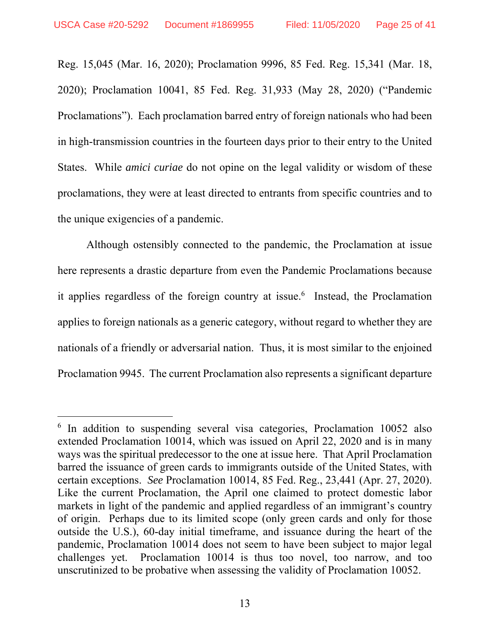$\overline{a}$ 

Reg. 15,045 (Mar. 16, 2020); Proclamation 9996, 85 Fed. Reg. 15,341 (Mar. 18, 2020); Proclamation 10041, 85 Fed. Reg. 31,933 (May 28, 2020) ("Pandemic Proclamations"). Each proclamation barred entry of foreign nationals who had been in high-transmission countries in the fourteen days prior to their entry to the United States. While *amici curiae* do not opine on the legal validity or wisdom of these proclamations, they were at least directed to entrants from specific countries and to the unique exigencies of a pandemic.

Although ostensibly connected to the pandemic, the Proclamation at issue here represents a drastic departure from even the Pandemic Proclamations because it applies regardless of the foreign country at issue.<sup>6</sup> Instead, the Proclamation applies to foreign nationals as a generic category, without regard to whether they are nationals of a friendly or adversarial nation. Thus, it is most similar to the enjoined Proclamation 9945. The current Proclamation also represents a significant departure

<sup>&</sup>lt;sup>6</sup> In addition to suspending several visa categories, Proclamation 10052 also extended Proclamation 10014, which was issued on April 22, 2020 and is in many ways was the spiritual predecessor to the one at issue here. That April Proclamation barred the issuance of green cards to immigrants outside of the United States, with certain exceptions. *See* Proclamation 10014, 85 Fed. Reg., 23,441 (Apr. 27, 2020). Like the current Proclamation, the April one claimed to protect domestic labor markets in light of the pandemic and applied regardless of an immigrant's country of origin. Perhaps due to its limited scope (only green cards and only for those outside the U.S.), 60-day initial timeframe, and issuance during the heart of the pandemic, Proclamation 10014 does not seem to have been subject to major legal challenges yet. Proclamation 10014 is thus too novel, too narrow, and too unscrutinized to be probative when assessing the validity of Proclamation 10052.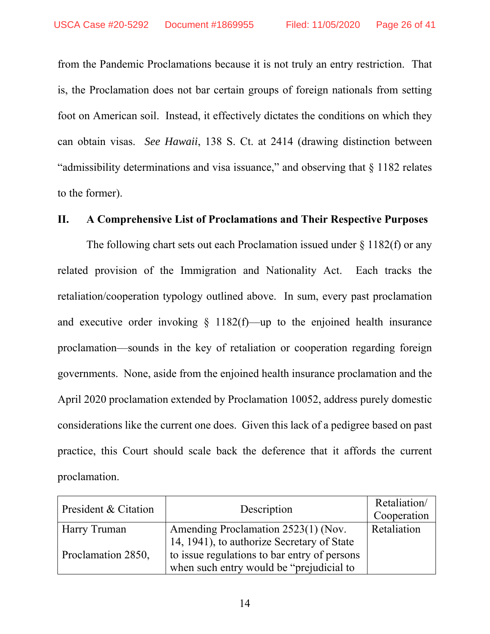from the Pandemic Proclamations because it is not truly an entry restriction. That is, the Proclamation does not bar certain groups of foreign nationals from setting foot on American soil. Instead, it effectively dictates the conditions on which they can obtain visas. *See Hawaii*, 138 S. Ct. at 2414 (drawing distinction between "admissibility determinations and visa issuance," and observing that § 1182 relates to the former).

### **II. A Comprehensive List of Proclamations and Their Respective Purposes**

The following chart sets out each Proclamation issued under  $\S 1182(f)$  or any related provision of the Immigration and Nationality Act. Each tracks the retaliation/cooperation typology outlined above. In sum, every past proclamation and executive order invoking  $\S$  1182(f)—up to the enjoined health insurance proclamation—sounds in the key of retaliation or cooperation regarding foreign governments. None, aside from the enjoined health insurance proclamation and the April 2020 proclamation extended by Proclamation 10052, address purely domestic considerations like the current one does. Given this lack of a pedigree based on past practice, this Court should scale back the deference that it affords the current proclamation.

| President & Citation | Description                                  | Retaliation/<br>Cooperation |
|----------------------|----------------------------------------------|-----------------------------|
| Harry Truman         | Amending Proclamation 2523(1) (Nov.          | Retaliation                 |
|                      | 14, 1941), to authorize Secretary of State   |                             |
| Proclamation 2850,   | to issue regulations to bar entry of persons |                             |
|                      | when such entry would be "prejudicial to"    |                             |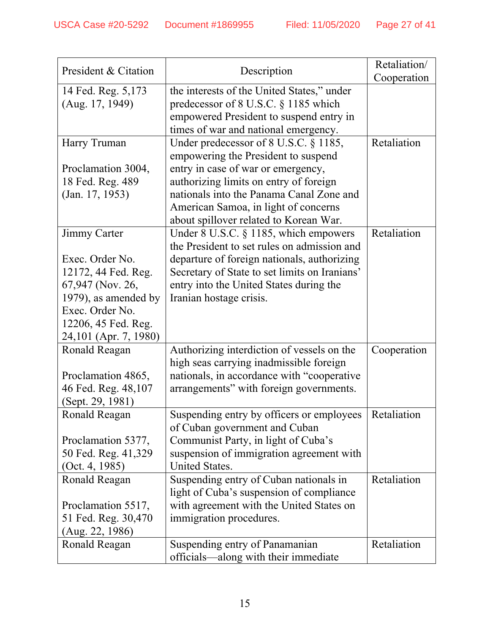| President & Citation  | Description                                   | Retaliation/ |
|-----------------------|-----------------------------------------------|--------------|
|                       |                                               | Cooperation  |
| 14 Fed. Reg. 5,173    | the interests of the United States," under    |              |
| (Aug. 17, 1949)       | predecessor of 8 U.S.C. § 1185 which          |              |
|                       | empowered President to suspend entry in       |              |
|                       | times of war and national emergency.          |              |
| Harry Truman          | Under predecessor of 8 U.S.C. § 1185,         | Retaliation  |
|                       | empowering the President to suspend           |              |
| Proclamation 3004,    | entry in case of war or emergency,            |              |
| 18 Fed. Reg. 489      | authorizing limits on entry of foreign        |              |
| (Jan. 17, 1953)       | nationals into the Panama Canal Zone and      |              |
|                       | American Samoa, in light of concerns          |              |
|                       | about spillover related to Korean War.        |              |
| Jimmy Carter          | Under 8 U.S.C. § 1185, which empowers         | Retaliation  |
|                       | the President to set rules on admission and   |              |
| Exec. Order No.       | departure of foreign nationals, authorizing   |              |
| 12172, 44 Fed. Reg.   | Secretary of State to set limits on Iranians' |              |
| 67,947 (Nov. 26,      | entry into the United States during the       |              |
| 1979), as amended by  | Iranian hostage crisis.                       |              |
| Exec. Order No.       |                                               |              |
| 12206, 45 Fed. Reg.   |                                               |              |
| 24,101 (Apr. 7, 1980) |                                               |              |
| Ronald Reagan         | Authorizing interdiction of vessels on the    | Cooperation  |
|                       | high seas carrying inadmissible foreign       |              |
| Proclamation 4865,    | nationals, in accordance with "cooperative    |              |
| 46 Fed. Reg. 48,107   | arrangements" with foreign governments.       |              |
| (Sept. 29, 1981)      |                                               |              |
| Ronald Reagan         | Suspending entry by officers or employees     | Retaliation  |
|                       | of Cuban government and Cuban                 |              |
| Proclamation 5377,    | Communist Party, in light of Cuba's           |              |
| 50 Fed. Reg. 41,329   | suspension of immigration agreement with      |              |
| (Oct. 4, 1985)        | United States.                                |              |
| Ronald Reagan         | Suspending entry of Cuban nationals in        | Retaliation  |
|                       | light of Cuba's suspension of compliance      |              |
| Proclamation 5517,    | with agreement with the United States on      |              |
| 51 Fed. Reg. 30,470   | immigration procedures.                       |              |
| (Aug. 22, 1986)       |                                               |              |
| Ronald Reagan         | Suspending entry of Panamanian                | Retaliation  |
|                       | officials-along with their immediate          |              |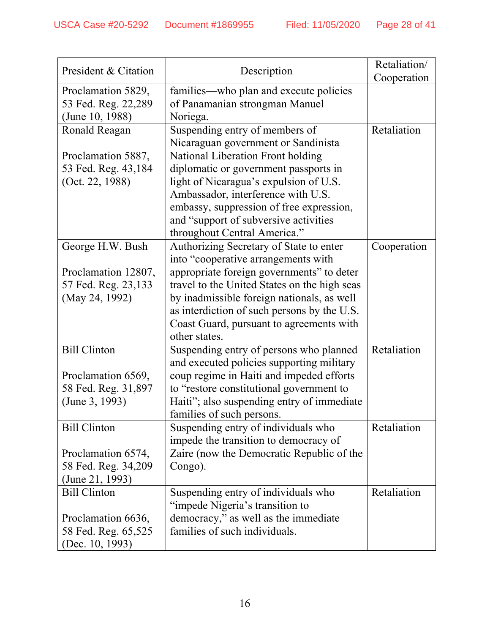| President & Citation | Description                                  | Retaliation/ |
|----------------------|----------------------------------------------|--------------|
|                      |                                              | Cooperation  |
| Proclamation 5829,   | families—who plan and execute policies       |              |
| 53 Fed. Reg. 22,289  | of Panamanian strongman Manuel               |              |
| (June 10, 1988)      | Noriega.                                     |              |
| Ronald Reagan        | Suspending entry of members of               | Retaliation  |
|                      | Nicaraguan government or Sandinista          |              |
| Proclamation 5887,   | National Liberation Front holding            |              |
| 53 Fed. Reg. 43,184  | diplomatic or government passports in        |              |
| (Oct. 22, 1988)      | light of Nicaragua's expulsion of U.S.       |              |
|                      | Ambassador, interference with U.S.           |              |
|                      | embassy, suppression of free expression,     |              |
|                      | and "support of subversive activities        |              |
|                      | throughout Central America."                 |              |
| George H.W. Bush     | Authorizing Secretary of State to enter      | Cooperation  |
|                      | into "cooperative arrangements with          |              |
| Proclamation 12807,  | appropriate foreign governments" to deter    |              |
| 57 Fed. Reg. 23,133  | travel to the United States on the high seas |              |
| (May 24, 1992)       | by inadmissible foreign nationals, as well   |              |
|                      | as interdiction of such persons by the U.S.  |              |
|                      | Coast Guard, pursuant to agreements with     |              |
|                      | other states.                                |              |
| <b>Bill Clinton</b>  | Suspending entry of persons who planned      | Retaliation  |
|                      | and executed policies supporting military    |              |
| Proclamation 6569,   | coup regime in Haiti and impeded efforts     |              |
| 58 Fed. Reg. 31,897  | to "restore constitutional government to     |              |
| (June 3, 1993)       | Haiti"; also suspending entry of immediate   |              |
|                      | families of such persons.                    |              |
| <b>Bill Clinton</b>  | Suspending entry of individuals who          | Retaliation  |
|                      | impede the transition to democracy of        |              |
| Proclamation 6574,   | Zaire (now the Democratic Republic of the    |              |
| 58 Fed. Reg. 34,209  | Congo).                                      |              |
| (June 21, 1993)      |                                              |              |
| <b>Bill Clinton</b>  | Suspending entry of individuals who          | Retaliation  |
|                      | "impede Nigeria's transition to              |              |
| Proclamation 6636,   | democracy," as well as the immediate         |              |
| 58 Fed. Reg. 65,525  | families of such individuals.                |              |
| (Dec. 10, 1993)      |                                              |              |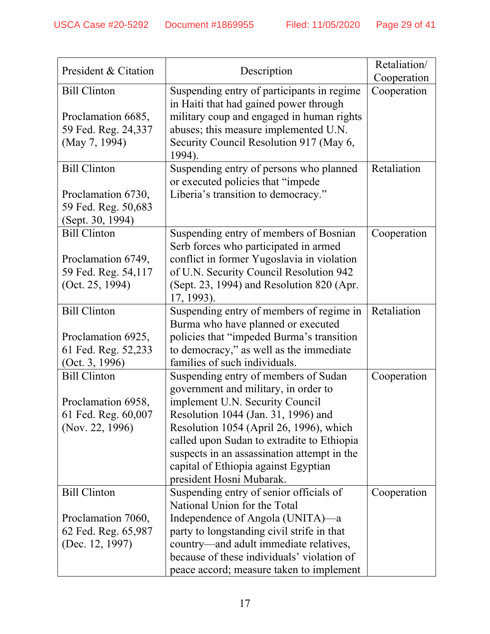| President & Citation                                                                |                                                                                                                                                                                                                                                                                                                                                                    | Retaliation/ |
|-------------------------------------------------------------------------------------|--------------------------------------------------------------------------------------------------------------------------------------------------------------------------------------------------------------------------------------------------------------------------------------------------------------------------------------------------------------------|--------------|
|                                                                                     | Description                                                                                                                                                                                                                                                                                                                                                        | Cooperation  |
| <b>Bill Clinton</b><br>Proclamation 6685,<br>59 Fed. Reg. 24,337<br>(May 7, 1994)   | Suspending entry of participants in regime<br>in Haiti that had gained power through<br>military coup and engaged in human rights<br>abuses; this measure implemented U.N.<br>Security Council Resolution 917 (May 6,<br>1994).                                                                                                                                    | Cooperation  |
| <b>Bill Clinton</b>                                                                 | Suspending entry of persons who planned<br>or executed policies that "impede                                                                                                                                                                                                                                                                                       | Retaliation  |
| Proclamation 6730,<br>59 Fed. Reg. 50,683<br>(Sept. 30, 1994)                       | Liberia's transition to democracy."                                                                                                                                                                                                                                                                                                                                |              |
| <b>Bill Clinton</b><br>Proclamation 6749,<br>59 Fed. Reg. 54,117<br>(Oct. 25, 1994) | Suspending entry of members of Bosnian<br>Serb forces who participated in armed<br>conflict in former Yugoslavia in violation<br>of U.N. Security Council Resolution 942<br>(Sept. 23, 1994) and Resolution 820 (Apr.<br>17, 1993).                                                                                                                                | Cooperation  |
| <b>Bill Clinton</b><br>Proclamation 6925,<br>61 Fed. Reg. 52,233<br>(Oct. 3, 1996)  | Suspending entry of members of regime in<br>Burma who have planned or executed<br>policies that "impeded Burma's transition<br>to democracy," as well as the immediate<br>families of such individuals.                                                                                                                                                            | Retaliation  |
| <b>Bill Clinton</b><br>Proclamation 6958,<br>61 Fed. Reg. 60,007<br>(Nov. 22, 1996) | Suspending entry of members of Sudan<br>government and military, in order to<br>implement U.N. Security Council<br>Resolution 1044 (Jan. 31, 1996) and<br>Resolution 1054 (April 26, 1996), which<br>called upon Sudan to extradite to Ethiopia<br>suspects in an assassination attempt in the<br>capital of Ethiopia against Egyptian<br>president Hosni Mubarak. | Cooperation  |
| <b>Bill Clinton</b><br>Proclamation 7060,<br>62 Fed. Reg. 65,987<br>(Dec. 12, 1997) | Suspending entry of senior officials of<br>National Union for the Total<br>Independence of Angola (UNITA)—a<br>party to longstanding civil strife in that<br>country—and adult immediate relatives,<br>because of these individuals' violation of<br>peace accord; measure taken to implement                                                                      | Cooperation  |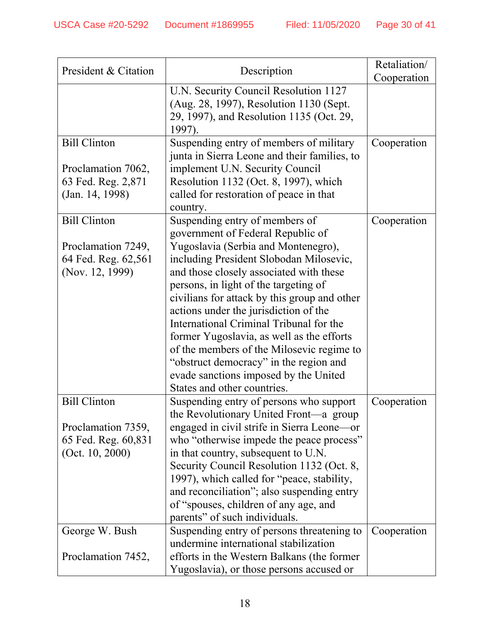| President & Citation                      | Description                                                                            | Retaliation/ |
|-------------------------------------------|----------------------------------------------------------------------------------------|--------------|
|                                           |                                                                                        | Cooperation  |
|                                           | U.N. Security Council Resolution 1127<br>(Aug. 28, 1997), Resolution 1130 (Sept.       |              |
|                                           | 29, 1997), and Resolution 1135 (Oct. 29,                                               |              |
|                                           | 1997).                                                                                 |              |
| <b>Bill Clinton</b>                       | Suspending entry of members of military                                                | Cooperation  |
|                                           | junta in Sierra Leone and their families, to                                           |              |
| Proclamation 7062,                        | implement U.N. Security Council                                                        |              |
| 63 Fed. Reg. 2,871                        | Resolution 1132 (Oct. 8, 1997), which                                                  |              |
| (Jan. 14, 1998)                           | called for restoration of peace in that                                                |              |
|                                           | country.                                                                               |              |
| <b>Bill Clinton</b>                       | Suspending entry of members of                                                         | Cooperation  |
|                                           | government of Federal Republic of                                                      |              |
| Proclamation 7249,                        | Yugoslavia (Serbia and Montenegro),                                                    |              |
| 64 Fed. Reg. 62,561                       | including President Slobodan Milosevic,                                                |              |
| (Nov. 12, 1999)                           | and those closely associated with these                                                |              |
|                                           | persons, in light of the targeting of                                                  |              |
|                                           | civilians for attack by this group and other                                           |              |
|                                           | actions under the jurisdiction of the                                                  |              |
|                                           | International Criminal Tribunal for the                                                |              |
|                                           | former Yugoslavia, as well as the efforts                                              |              |
|                                           | of the members of the Milosevic regime to                                              |              |
|                                           | "obstruct democracy" in the region and                                                 |              |
|                                           | evade sanctions imposed by the United                                                  |              |
|                                           | States and other countries.                                                            |              |
| <b>Bill Clinton</b>                       | Suspending entry of persons who support                                                | Cooperation  |
|                                           | the Revolutionary United Front—a group                                                 |              |
| Proclamation 7359,                        | engaged in civil strife in Sierra Leone-or<br>who "otherwise impede the peace process" |              |
| 65 Fed. Reg. 60,831<br>(Oct. $10, 2000$ ) | in that country, subsequent to U.N.                                                    |              |
|                                           | Security Council Resolution 1132 (Oct. 8,                                              |              |
|                                           | 1997), which called for "peace, stability,                                             |              |
|                                           | and reconciliation"; also suspending entry                                             |              |
|                                           | of "spouses, children of any age, and                                                  |              |
|                                           | parents" of such individuals.                                                          |              |
| George W. Bush                            | Suspending entry of persons threatening to                                             | Cooperation  |
|                                           | undermine international stabilization                                                  |              |
| Proclamation 7452,                        | efforts in the Western Balkans (the former                                             |              |
|                                           | Yugoslavia), or those persons accused or                                               |              |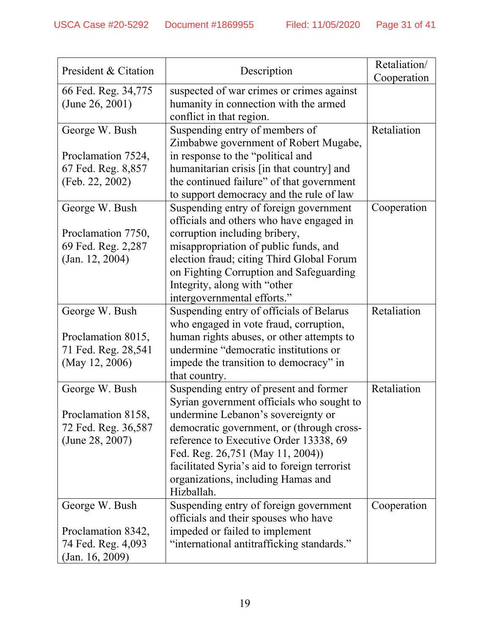|                      |                                              | Retaliation/ |
|----------------------|----------------------------------------------|--------------|
| President & Citation | Description                                  | Cooperation  |
| 66 Fed. Reg. 34,775  | suspected of war crimes or crimes against    |              |
| (June 26, 2001)      | humanity in connection with the armed        |              |
|                      | conflict in that region.                     |              |
| George W. Bush       | Suspending entry of members of               | Retaliation  |
|                      | Zimbabwe government of Robert Mugabe,        |              |
| Proclamation 7524,   | in response to the "political and            |              |
| 67 Fed. Reg. 8,857   | humanitarian crisis [in that country] and    |              |
| (Feb. 22, 2002)      | the continued failure" of that government    |              |
|                      | to support democracy and the rule of law     |              |
| George W. Bush       | Suspending entry of foreign government       | Cooperation  |
|                      | officials and others who have engaged in     |              |
| Proclamation 7750,   | corruption including bribery,                |              |
| 69 Fed. Reg. 2,287   | misappropriation of public funds, and        |              |
| (Jan. 12, 2004)      | election fraud; citing Third Global Forum    |              |
|                      | on Fighting Corruption and Safeguarding      |              |
|                      | Integrity, along with "other                 |              |
|                      | intergovernmental efforts."                  |              |
| George W. Bush       | Suspending entry of officials of Belarus     | Retaliation  |
|                      | who engaged in vote fraud, corruption,       |              |
| Proclamation 8015,   | human rights abuses, or other attempts to    |              |
| 71 Fed. Reg. 28,541  | undermine "democratic institutions or        |              |
| (May 12, 2006)       | impede the transition to democracy" in       |              |
|                      | that country.                                |              |
| George W. Bush       | Suspending entry of present and former       | Retaliation  |
|                      | Syrian government officials who sought to    |              |
| Proclamation 8158,   | undermine Lebanon's sovereignty or           |              |
| 72 Fed. Reg. 36,587  | democratic government, or (through cross-    |              |
| (June 28, 2007)      | reference to Executive Order 13338, 69       |              |
|                      | Fed. Reg. 26,751 (May 11, 2004))             |              |
|                      | facilitated Syria's aid to foreign terrorist |              |
|                      | organizations, including Hamas and           |              |
|                      | Hizballah.                                   |              |
| George W. Bush       | Suspending entry of foreign government       | Cooperation  |
|                      | officials and their spouses who have         |              |
| Proclamation 8342,   | impeded or failed to implement               |              |
| 74 Fed. Reg. 4,093   | "international antitrafficking standards."   |              |
| (Jan. 16, 2009)      |                                              |              |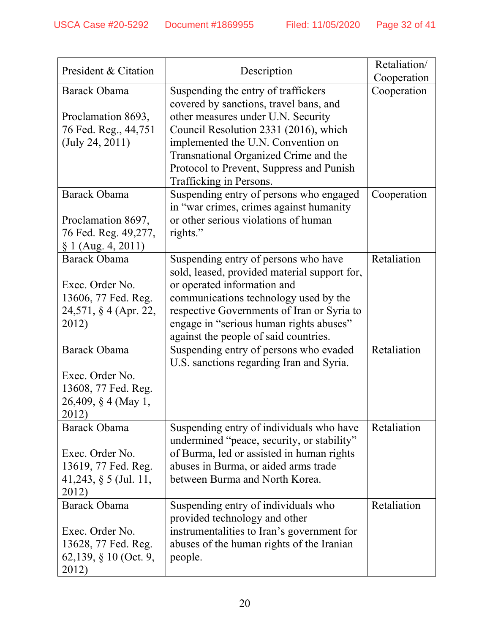|                                            |                                                                                         | Retaliation/ |
|--------------------------------------------|-----------------------------------------------------------------------------------------|--------------|
| President & Citation                       | Description                                                                             | Cooperation  |
| Barack Obama                               | Suspending the entry of traffickers                                                     | Cooperation  |
|                                            | covered by sanctions, travel bans, and                                                  |              |
| Proclamation 8693,                         | other measures under U.N. Security                                                      |              |
| 76 Fed. Reg., 44,751                       | Council Resolution 2331 (2016), which                                                   |              |
| (July 24, 2011)                            | implemented the U.N. Convention on                                                      |              |
|                                            | Transnational Organized Crime and the                                                   |              |
|                                            | Protocol to Prevent, Suppress and Punish                                                |              |
|                                            | Trafficking in Persons.                                                                 |              |
| Barack Obama                               | Suspending entry of persons who engaged                                                 | Cooperation  |
|                                            | in "war crimes, crimes against humanity                                                 |              |
| Proclamation 8697,<br>76 Fed. Reg. 49,277, | or other serious violations of human                                                    |              |
| $\S 1$ (Aug. 4, 2011)                      | rights."                                                                                |              |
| <b>Barack Obama</b>                        | Suspending entry of persons who have                                                    | Retaliation  |
|                                            | sold, leased, provided material support for,                                            |              |
| Exec. Order No.                            | or operated information and                                                             |              |
| 13606, 77 Fed. Reg.                        | communications technology used by the                                                   |              |
| 24,571, § 4 (Apr. 22,                      | respective Governments of Iran or Syria to                                              |              |
| 2012)                                      | engage in "serious human rights abuses"                                                 |              |
|                                            | against the people of said countries.                                                   |              |
| Barack Obama                               | Suspending entry of persons who evaded                                                  | Retaliation  |
|                                            | U.S. sanctions regarding Iran and Syria.                                                |              |
| Exec. Order No.                            |                                                                                         |              |
| 13608, 77 Fed. Reg.                        |                                                                                         |              |
| 26,409, § 4 (May 1,                        |                                                                                         |              |
| 2012)                                      |                                                                                         |              |
| Barack Obama                               | Suspending entry of individuals who have                                                | Retaliation  |
| Exec. Order No.                            | undermined "peace, security, or stability"<br>of Burma, led or assisted in human rights |              |
| 13619, 77 Fed. Reg.                        | abuses in Burma, or aided arms trade                                                    |              |
| 41,243, § 5 (Jul. 11,                      | between Burma and North Korea.                                                          |              |
| 2012)                                      |                                                                                         |              |
| Barack Obama                               | Suspending entry of individuals who                                                     | Retaliation  |
|                                            | provided technology and other                                                           |              |
| Exec. Order No.                            | instrumentalities to Iran's government for                                              |              |
| 13628, 77 Fed. Reg.                        | abuses of the human rights of the Iranian                                               |              |
| 62,139, § 10 (Oct. 9,                      | people.                                                                                 |              |
| 2012)                                      |                                                                                         |              |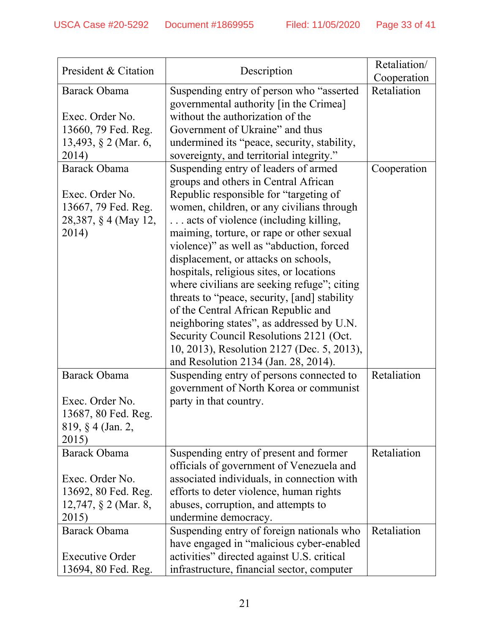| President & Citation    | Description                                  | Retaliation/ |
|-------------------------|----------------------------------------------|--------------|
|                         |                                              | Cooperation  |
| Barack Obama            | Suspending entry of person who "asserted"    | Retaliation  |
|                         | governmental authority [in the Crimea]       |              |
| Exec. Order No.         | without the authorization of the             |              |
| 13660, 79 Fed. Reg.     | Government of Ukraine" and thus              |              |
| 13,493, § 2 (Mar. 6,    | undermined its "peace, security, stability,  |              |
| 2014)                   | sovereignty, and territorial integrity."     |              |
| Barack Obama            | Suspending entry of leaders of armed         | Cooperation  |
|                         | groups and others in Central African         |              |
| Exec. Order No.         | Republic responsible for "targeting of       |              |
| 13667, 79 Fed. Reg.     | women, children, or any civilians through    |              |
| 28,387, § 4 (May 12,    | acts of violence (including killing,         |              |
| 2014)                   | maiming, torture, or rape or other sexual    |              |
|                         | violence)" as well as "abduction, forced     |              |
|                         | displacement, or attacks on schools,         |              |
|                         | hospitals, religious sites, or locations     |              |
|                         | where civilians are seeking refuge"; citing  |              |
|                         | threats to "peace, security, [and] stability |              |
|                         | of the Central African Republic and          |              |
|                         | neighboring states", as addressed by U.N.    |              |
|                         | Security Council Resolutions 2121 (Oct.      |              |
|                         | 10, 2013), Resolution 2127 (Dec. 5, 2013),   |              |
|                         | and Resolution 2134 (Jan. 28, 2014).         |              |
| <b>Barack Obama</b>     | Suspending entry of persons connected to     | Retaliation  |
|                         | government of North Korea or communist       |              |
| Exec. Order No.         | party in that country.                       |              |
| 13687, 80 Fed. Reg.     |                                              |              |
| 819, § 4 (Jan. 2,       |                                              |              |
| 2015)                   |                                              |              |
| Barack Obama            | Suspending entry of present and former       | Retaliation  |
|                         | officials of government of Venezuela and     |              |
| Exec. Order No.         | associated individuals, in connection with   |              |
| 13692, 80 Fed. Reg.     | efforts to deter violence, human rights      |              |
| 12,747, $\S$ 2 (Mar. 8, | abuses, corruption, and attempts to          |              |
| 2015)                   | undermine democracy.                         |              |
| Barack Obama            | Suspending entry of foreign nationals who    | Retaliation  |
|                         | have engaged in "malicious cyber-enabled     |              |
| <b>Executive Order</b>  | activities" directed against U.S. critical   |              |
| 13694, 80 Fed. Reg.     | infrastructure, financial sector, computer   |              |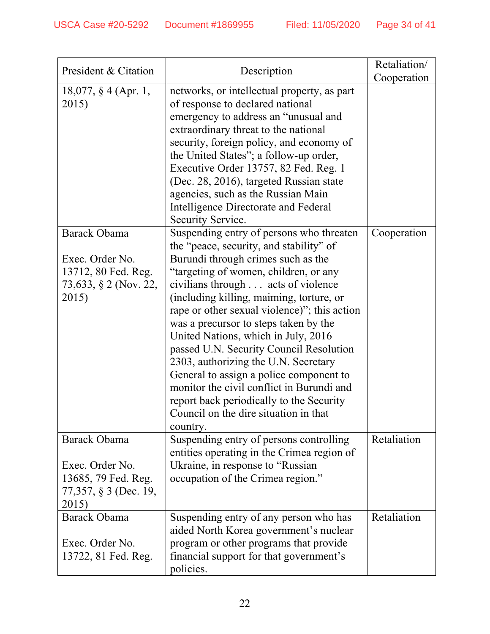| President & Citation                                                                            | Description                                                                                                                                                                                                                                                                                                                                                                                                                                                                                                                                                                                                                                                      | Retaliation/ |
|-------------------------------------------------------------------------------------------------|------------------------------------------------------------------------------------------------------------------------------------------------------------------------------------------------------------------------------------------------------------------------------------------------------------------------------------------------------------------------------------------------------------------------------------------------------------------------------------------------------------------------------------------------------------------------------------------------------------------------------------------------------------------|--------------|
| 18,077, § 4 (Apr. 1,<br>2015)                                                                   | networks, or intellectual property, as part<br>of response to declared national<br>emergency to address an "unusual and<br>extraordinary threat to the national<br>security, foreign policy, and economy of<br>the United States"; a follow-up order,<br>Executive Order 13757, 82 Fed. Reg. 1<br>(Dec. 28, 2016), targeted Russian state<br>agencies, such as the Russian Main<br>Intelligence Directorate and Federal<br>Security Service.                                                                                                                                                                                                                     | Cooperation  |
| <b>Barack Obama</b><br>Exec. Order No.<br>13712, 80 Fed. Reg.<br>73,633, § 2 (Nov. 22,<br>2015) | Suspending entry of persons who threaten<br>the "peace, security, and stability" of<br>Burundi through crimes such as the<br>"targeting of women, children, or any<br>civilians through acts of violence<br>(including killing, maiming, torture, or<br>rape or other sexual violence)"; this action<br>was a precursor to steps taken by the<br>United Nations, which in July, 2016<br>passed U.N. Security Council Resolution<br>2303, authorizing the U.N. Secretary<br>General to assign a police component to<br>monitor the civil conflict in Burundi and<br>report back periodically to the Security<br>Council on the dire situation in that<br>country. | Cooperation  |
| <b>Barack Obama</b><br>Exec. Order No.<br>13685, 79 Fed. Reg.<br>77,357, § 3 (Dec. 19,<br>2015) | Suspending entry of persons controlling<br>entities operating in the Crimea region of<br>Ukraine, in response to "Russian"<br>occupation of the Crimea region."                                                                                                                                                                                                                                                                                                                                                                                                                                                                                                  | Retaliation  |
| Barack Obama<br>Exec. Order No.<br>13722, 81 Fed. Reg.                                          | Suspending entry of any person who has<br>aided North Korea government's nuclear<br>program or other programs that provide<br>financial support for that government's<br>policies.                                                                                                                                                                                                                                                                                                                                                                                                                                                                               | Retaliation  |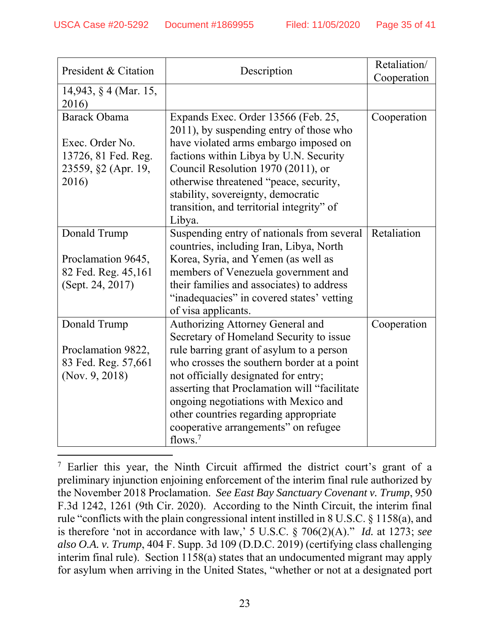| President & Citation                                                           | Description                                                                                                                                                                                                                                                                                            | Retaliation/<br>Cooperation |
|--------------------------------------------------------------------------------|--------------------------------------------------------------------------------------------------------------------------------------------------------------------------------------------------------------------------------------------------------------------------------------------------------|-----------------------------|
| 14,943, § 4 (Mar. 15,<br>2016)                                                 |                                                                                                                                                                                                                                                                                                        |                             |
| Barack Obama                                                                   | Expands Exec. Order 13566 (Feb. 25,<br>2011), by suspending entry of those who                                                                                                                                                                                                                         | Cooperation                 |
| Exec. Order No.<br>13726, 81 Fed. Reg.<br>23559, §2 (Apr. 19,                  | have violated arms embargo imposed on<br>factions within Libya by U.N. Security<br>Council Resolution 1970 (2011), or                                                                                                                                                                                  |                             |
| 2016)                                                                          | otherwise threatened "peace, security,<br>stability, sovereignty, democratic<br>transition, and territorial integrity" of<br>Libya.                                                                                                                                                                    |                             |
| Donald Trump                                                                   | Suspending entry of nationals from several<br>countries, including Iran, Libya, North                                                                                                                                                                                                                  | Retaliation                 |
| Proclamation 9645,<br>82 Fed. Reg. 45,161<br>(Sept. 24, 2017)                  | Korea, Syria, and Yemen (as well as<br>members of Venezuela government and<br>their families and associates) to address<br>"inadequacies" in covered states' vetting<br>of visa applicants.                                                                                                            |                             |
| Donald Trump<br>Proclamation 9822,<br>83 Fed. Reg. 57,661<br>(Nov. $9, 2018$ ) | Authorizing Attorney General and<br>Secretary of Homeland Security to issue<br>rule barring grant of asylum to a person<br>who crosses the southern border at a point<br>not officially designated for entry;<br>asserting that Proclamation will "facilitate"<br>ongoing negotiations with Mexico and | Cooperation                 |
|                                                                                | other countries regarding appropriate<br>cooperative arrangements" on refugee<br>flows. $7$                                                                                                                                                                                                            |                             |

<sup>7</sup> Earlier this year, the Ninth Circuit affirmed the district court's grant of a preliminary injunction enjoining enforcement of the interim final rule authorized by the November 2018 Proclamation. *See East Bay Sanctuary Covenant v. Trump*, 950 F.3d 1242, 1261 (9th Cir. 2020). According to the Ninth Circuit, the interim final rule "conflicts with the plain congressional intent instilled in 8 U.S.C. § 1158(a), and is therefore 'not in accordance with law,' 5 U.S.C. § 706(2)(A)." *Id.* at 1273; *see also O.A. v. Trump*, 404 F. Supp. 3d 109 (D.D.C. 2019) (certifying class challenging interim final rule). Section 1158(a) states that an undocumented migrant may apply for asylum when arriving in the United States, "whether or not at a designated port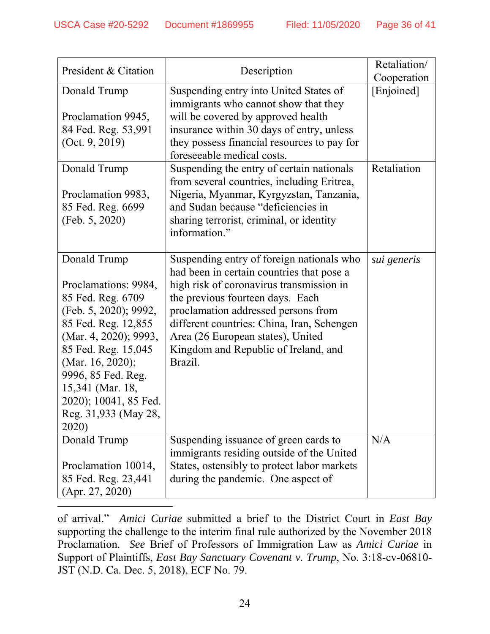| President & Citation                                                                                                                                                                                                                                                              | Description                                                                                                                                                                                                                                                                                                                                         | Retaliation/<br>Cooperation |
|-----------------------------------------------------------------------------------------------------------------------------------------------------------------------------------------------------------------------------------------------------------------------------------|-----------------------------------------------------------------------------------------------------------------------------------------------------------------------------------------------------------------------------------------------------------------------------------------------------------------------------------------------------|-----------------------------|
| Donald Trump<br>Proclamation 9945,<br>84 Fed. Reg. 53,991<br>(Oct. 9, 2019)                                                                                                                                                                                                       | Suspending entry into United States of<br>immigrants who cannot show that they<br>will be covered by approved health<br>insurance within 30 days of entry, unless<br>they possess financial resources to pay for<br>foreseeable medical costs.                                                                                                      | [Enjoined]                  |
| Donald Trump<br>Proclamation 9983,<br>85 Fed. Reg. 6699<br>(Feb. 5, 2020)                                                                                                                                                                                                         | Suspending the entry of certain nationals<br>from several countries, including Eritrea,<br>Nigeria, Myanmar, Kyrgyzstan, Tanzania,<br>and Sudan because "deficiencies in<br>sharing terrorist, criminal, or identity<br>information."                                                                                                               | Retaliation                 |
| Donald Trump<br>Proclamations: 9984,<br>85 Fed. Reg. 6709<br>(Feb. 5, 2020); 9992,<br>85 Fed. Reg. 12,855<br>(Mar. 4, 2020); 9993,<br>85 Fed. Reg. 15,045<br>(Mar. 16, 2020);<br>9996, 85 Fed. Reg.<br>15,341 (Mar. 18,<br>2020); 10041, 85 Fed.<br>Reg. 31,933 (May 28,<br>2020) | Suspending entry of foreign nationals who<br>had been in certain countries that pose a<br>high risk of coronavirus transmission in<br>the previous fourteen days. Each<br>proclamation addressed persons from<br>different countries: China, Iran, Schengen<br>Area (26 European states), United<br>Kingdom and Republic of Ireland, and<br>Brazil. | sui generis                 |
| Donald Trump<br>Proclamation 10014,<br>85 Fed. Reg. 23,441<br>(Apr. 27, 2020)                                                                                                                                                                                                     | Suspending issuance of green cards to<br>immigrants residing outside of the United<br>States, ostensibly to protect labor markets<br>during the pandemic. One aspect of                                                                                                                                                                             | N/A                         |

of arrival." *Amici Curiae* submitted a brief to the District Court in *East Bay* supporting the challenge to the interim final rule authorized by the November 2018 Proclamation. *See* Brief of Professors of Immigration Law as *Amici Curiae* in Support of Plaintiffs, *East Bay Sanctuary Covenant v. Trump*, No. 3:18-cv-06810- JST (N.D. Ca. Dec. 5, 2018), ECF No. 79.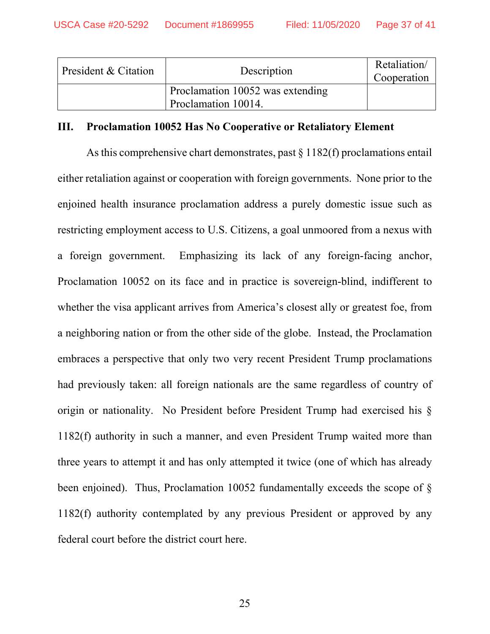| President & Citation | Description                                             | Retaliation/<br>Cooperation |
|----------------------|---------------------------------------------------------|-----------------------------|
|                      | Proclamation 10052 was extending<br>Proclamation 10014. |                             |

### **III. Proclamation 10052 Has No Cooperative or Retaliatory Element**

As this comprehensive chart demonstrates, past  $\S 1182(f)$  proclamations entail either retaliation against or cooperation with foreign governments. None prior to the enjoined health insurance proclamation address a purely domestic issue such as restricting employment access to U.S. Citizens, a goal unmoored from a nexus with a foreign government. Emphasizing its lack of any foreign-facing anchor, Proclamation 10052 on its face and in practice is sovereign-blind, indifferent to whether the visa applicant arrives from America's closest ally or greatest foe, from a neighboring nation or from the other side of the globe. Instead, the Proclamation embraces a perspective that only two very recent President Trump proclamations had previously taken: all foreign nationals are the same regardless of country of origin or nationality. No President before President Trump had exercised his § 1182(f) authority in such a manner, and even President Trump waited more than three years to attempt it and has only attempted it twice (one of which has already been enjoined). Thus, Proclamation 10052 fundamentally exceeds the scope of § 1182(f) authority contemplated by any previous President or approved by any federal court before the district court here.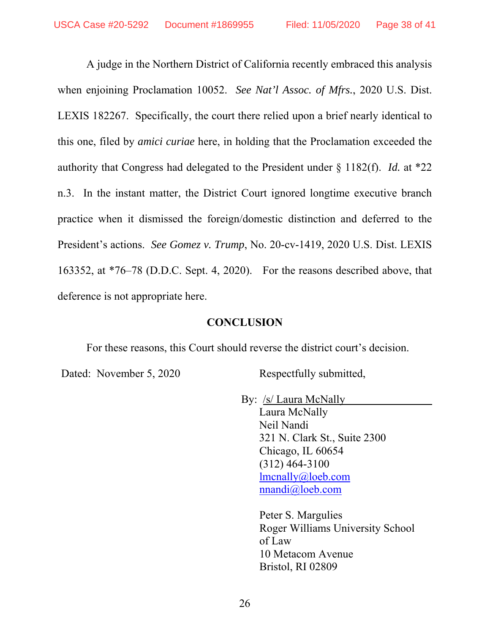A judge in the Northern District of California recently embraced this analysis when enjoining Proclamation 10052. *See Nat'l Assoc. of Mfrs.*, 2020 U.S. Dist. LEXIS 182267. Specifically, the court there relied upon a brief nearly identical to this one, filed by *amici curiae* here, in holding that the Proclamation exceeded the authority that Congress had delegated to the President under § 1182(f). *Id.* at \*22 n.3. In the instant matter, the District Court ignored longtime executive branch practice when it dismissed the foreign/domestic distinction and deferred to the President's actions. *See Gomez v. Trump*, No. 20-cv-1419, 2020 U.S. Dist. LEXIS 163352, at \*76–78 (D.D.C. Sept. 4, 2020). For the reasons described above, that deference is not appropriate here.

### **CONCLUSION**

For these reasons, this Court should reverse the district court's decision.

Dated: November 5, 2020 Respectfully submitted,

By: <u>/s/ Laura McNally</u>

 Laura McNally Neil Nandi 321 N. Clark St., Suite 2300 Chicago, IL 60654 (312) 464-3100 lmcnally@loeb.com nnandi@loeb.com

 Peter S. Margulies Roger Williams University School of Law 10 Metacom Avenue Bristol, RI 02809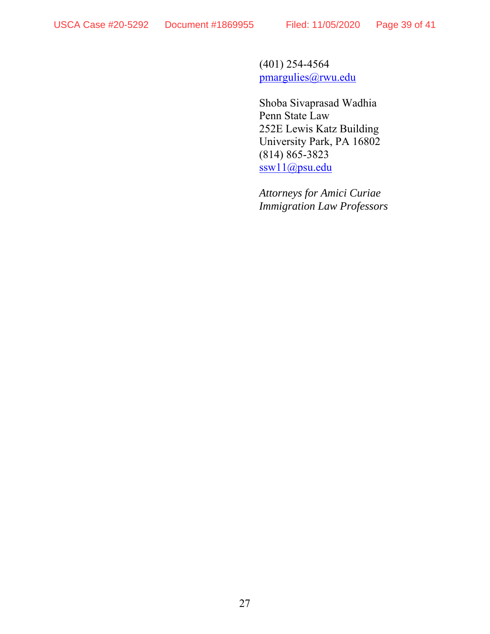(401) 254-4564 pmargulies@rwu.edu

 Shoba Sivaprasad Wadhia Penn State Law 252E Lewis Katz Building University Park, PA 16802 (814) 865-3823 ssw11@psu.edu

*Attorneys for Amici Curiae Immigration Law Professors*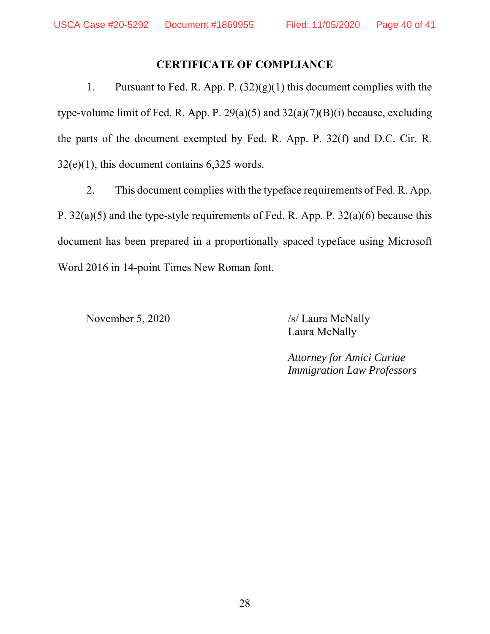## **CERTIFICATE OF COMPLIANCE**

1. Pursuant to Fed. R. App. P. (32)(g)(1) this document complies with the type-volume limit of Fed. R. App. P. 29(a)(5) and 32(a)(7)(B)(i) because, excluding the parts of the document exempted by Fed. R. App. P. 32(f) and D.C. Cir. R. 32(e)(1), this document contains 6,325 words.

2. This document complies with the typeface requirements of Fed. R. App. P. 32(a)(5) and the type-style requirements of Fed. R. App. P. 32(a)(6) because this document has been prepared in a proportionally spaced typeface using Microsoft Word 2016 in 14-point Times New Roman font.

November 5, 2020 /s/ Laura McNally Laura McNally

> *Attorney for Amici Curiae Immigration Law Professors*